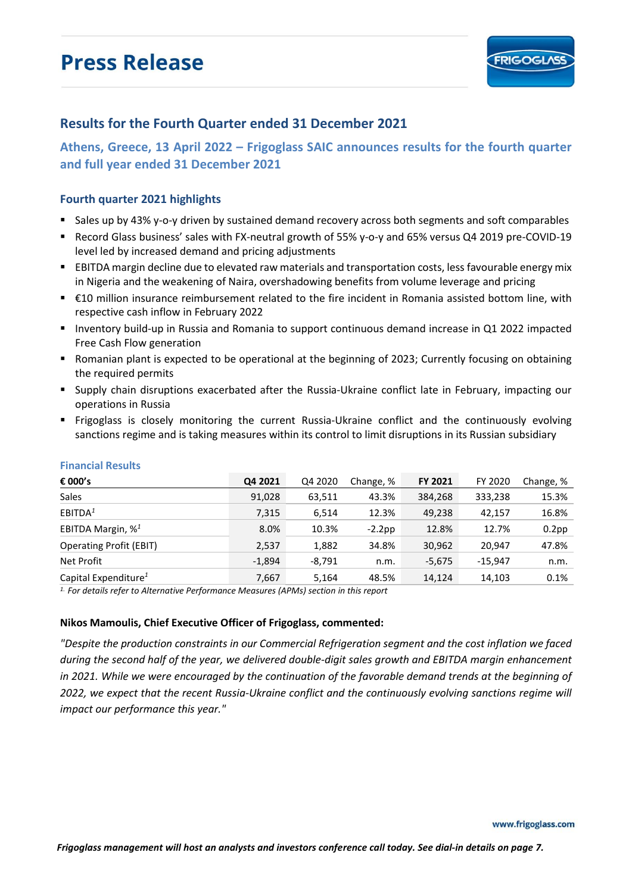# **Press Release**



### **Results for the Fourth Quarter ended 31 December 2021**

**Athens, Greece, 13 April 2022 – Frigoglass SAIC announces results for the fourth quarter and full year ended 31 December 2021**

#### **Fourth quarter 2021 highlights**

- Sales up by 43% y-o-y driven by sustained demand recovery across both segments and soft comparables
- Record Glass business' sales with FX-neutral growth of 55% y-o-y and 65% versus Q4 2019 pre-COVID-19 level led by increased demand and pricing adjustments
- EBITDA margin decline due to elevated raw materials and transportation costs, less favourable energy mix in Nigeria and the weakening of Naira, overshadowing benefits from volume leverage and pricing
- €10 million insurance reimbursement related to the fire incident in Romania assisted bottom line, with respective cash inflow in February 2022
- Inventory build-up in Russia and Romania to support continuous demand increase in Q1 2022 impacted Free Cash Flow generation
- Romanian plant is expected to be operational at the beginning of 2023; Currently focusing on obtaining the required permits
- Supply chain disruptions exacerbated after the Russia-Ukraine conflict late in February, impacting our operations in Russia
- Frigoglass is closely monitoring the current Russia-Ukraine conflict and the continuously evolving sanctions regime and is taking measures within its control to limit disruptions in its Russian subsidiary

| € 000's                          | Q4 2021  | Q4 2020  | Change, % | <b>FY 2021</b> | FY 2020   | Change, % |
|----------------------------------|----------|----------|-----------|----------------|-----------|-----------|
| <b>Sales</b>                     | 91,028   | 63,511   | 43.3%     | 384,268        | 333,238   | 15.3%     |
| EBITDA <sup>1</sup>              | 7,315    | 6.514    | 12.3%     | 49.238         | 42.157    | 16.8%     |
| EBITDA Margin, % <sup>1</sup>    | 8.0%     | 10.3%    | $-2.2$ pp | 12.8%          | 12.7%     | $0.2$ pp  |
| <b>Operating Profit (EBIT)</b>   | 2,537    | 1,882    | 34.8%     | 30,962         | 20.947    | 47.8%     |
| Net Profit                       | $-1,894$ | $-8,791$ | n.m.      | $-5,675$       | $-15.947$ | n.m.      |
| Capital Expenditure <sup>1</sup> | 7,667    | 5,164    | 48.5%     | 14,124         | 14,103    | 0.1%      |

#### **Financial Results**

*1. For details refer to Alternative Performance Measures (APMs) section in this report*

#### **Nikos Mamoulis, Chief Executive Officer of Frigoglass, commented:**

*"Despite the production constraints in our Commercial Refrigeration segment and the cost inflation we faced during the second half of the year, we delivered double-digit sales growth and EBITDA margin enhancement in 2021. While we were encouraged by the continuation of the favorable demand trends at the beginning of 2022, we expect that the recent Russia-Ukraine conflict and the continuously evolving sanctions regime will impact our performance this year."*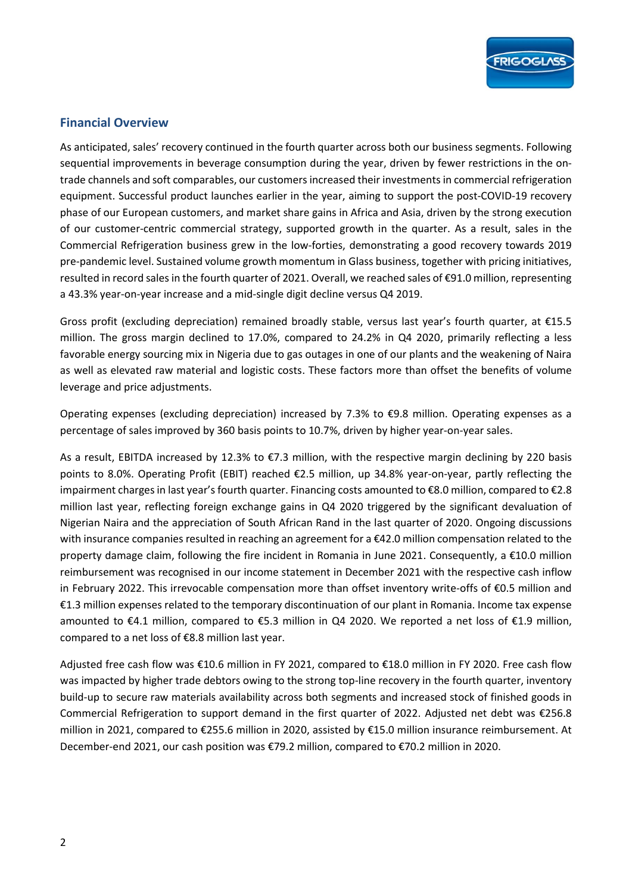

### **Financial Overview**

As anticipated, sales' recovery continued in the fourth quarter across both our business segments. Following sequential improvements in beverage consumption during the year, driven by fewer restrictions in the ontrade channels and soft comparables, our customers increased their investmentsin commercial refrigeration equipment. Successful product launches earlier in the year, aiming to support the post-COVID-19 recovery phase of our European customers, and market share gains in Africa and Asia, driven by the strong execution of our customer-centric commercial strategy, supported growth in the quarter. As a result, sales in the Commercial Refrigeration business grew in the low-forties, demonstrating a good recovery towards 2019 pre-pandemic level. Sustained volume growth momentum in Glass business, together with pricing initiatives, resulted in record sales in the fourth quarter of 2021. Overall, we reached sales of €91.0 million, representing a 43.3% year-on-year increase and a mid-single digit decline versus Q4 2019.

Gross profit (excluding depreciation) remained broadly stable, versus last year's fourth quarter, at €15.5 million. The gross margin declined to 17.0%, compared to 24.2% in Q4 2020, primarily reflecting a less favorable energy sourcing mix in Nigeria due to gas outages in one of our plants and the weakening of Naira as well as elevated raw material and logistic costs. These factors more than offset the benefits of volume leverage and price adjustments.

Operating expenses (excluding depreciation) increased by 7.3% to €9.8 million. Operating expenses as a percentage of sales improved by 360 basis points to 10.7%, driven by higher year-on-year sales.

As a result, EBITDA increased by 12.3% to €7.3 million, with the respective margin declining by 220 basis points to 8.0%. Operating Profit (EBIT) reached €2.5 million, up 34.8% year-on-year, partly reflecting the impairment charges in last year's fourth quarter. Financing costs amounted to €8.0 million, compared to €2.8 million last year, reflecting foreign exchange gains in Q4 2020 triggered by the significant devaluation of Nigerian Naira and the appreciation of South African Rand in the last quarter of 2020. Ongoing discussions with insurance companies resulted in reaching an agreement for a €42.0 million compensation related to the property damage claim, following the fire incident in Romania in June 2021. Consequently, a €10.0 million reimbursement was recognised in our income statement in December 2021 with the respective cash inflow in February 2022. This irrevocable compensation more than offset inventory write-offs of  $\epsilon$ 0.5 million and €1.3 million expenses related to the temporary discontinuation of our plant in Romania. Income tax expense amounted to €4.1 million, compared to €5.3 million in Q4 2020. We reported a net loss of €1.9 million, compared to a net loss of €8.8 million last year.

Adjusted free cash flow was €10.6 million in FY 2021, compared to €18.0 million in FY 2020. Free cash flow was impacted by higher trade debtors owing to the strong top-line recovery in the fourth quarter, inventory build-up to secure raw materials availability across both segments and increased stock of finished goods in Commercial Refrigeration to support demand in the first quarter of 2022. Adjusted net debt was €256.8 million in 2021, compared to €255.6 million in 2020, assisted by €15.0 million insurance reimbursement. At December-end 2021, our cash position was €79.2 million, compared to €70.2 million in 2020.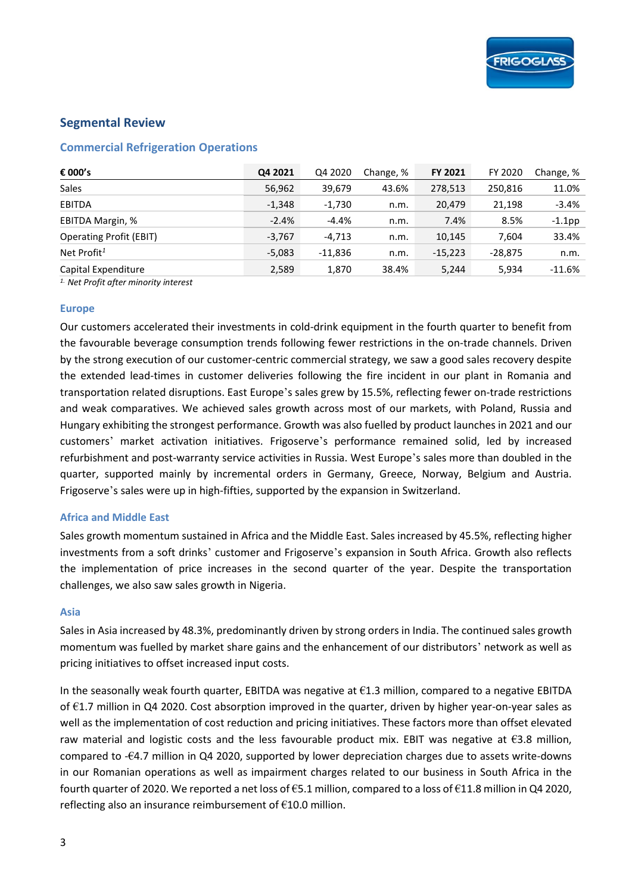### **Segmental Review**

### **Commercial Refrigeration Operations**

| € 000's                        | Q4 2021  | Q4 2020  | Change, % | <b>FY 2021</b> | FY 2020   | Change, % |
|--------------------------------|----------|----------|-----------|----------------|-----------|-----------|
| <b>Sales</b>                   | 56,962   | 39,679   | 43.6%     | 278,513        | 250,816   | 11.0%     |
| <b>EBITDA</b>                  | $-1,348$ | $-1,730$ | n.m.      | 20,479         | 21,198    | $-3.4%$   |
| EBITDA Margin, %               | $-2.4%$  | $-4.4%$  | n.m.      | 7.4%           | 8.5%      | $-1.1$ pp |
| <b>Operating Profit (EBIT)</b> | $-3,767$ | $-4,713$ | n.m.      | 10,145         | 7.604     | 33.4%     |
| Net Profit <sup>1</sup>        | $-5,083$ | -11,836  | n.m.      | $-15,223$      | $-28,875$ | n.m.      |
| Capital Expenditure            | 2,589    | 1,870    | 38.4%     | 5,244          | 5,934     | $-11.6\%$ |

*1. Net Profit after minority interest* 

#### **Europe**

Our customers accelerated their investments in cold-drink equipment in the fourth quarter to benefit from the favourable beverage consumption trends following fewer restrictions in the on-trade channels. Driven by the strong execution of our customer-centric commercial strategy, we saw a good sales recovery despite the extended lead-times in customer deliveries following the fire incident in our plant in Romania and transportation related disruptions. East Europe's sales grew by 15.5%, reflecting fewer on-trade restrictions and weak comparatives. We achieved sales growth across most of our markets, with Poland, Russia and Hungary exhibiting the strongest performance. Growth was also fuelled by product launches in 2021 and our customers' market activation initiatives. Frigoserve's performance remained solid, led by increased refurbishment and post-warranty service activities in Russia. West Europe's sales more than doubled in the quarter, supported mainly by incremental orders in Germany, Greece, Norway, Belgium and Austria. Frigoserve's sales were up in high-fifties, supported by the expansion in Switzerland.

#### **Africa and Middle East**

Sales growth momentum sustained in Africa and the Middle East. Sales increased by 45.5%, reflecting higher investments from a soft drinks' customer and Frigoserve's expansion in South Africa. Growth also reflects the implementation of price increases in the second quarter of the year. Despite the transportation challenges, we also saw sales growth in Nigeria.

#### **Asia**

Sales in Asia increased by 48.3%, predominantly driven by strong orders in India. The continued sales growth momentum was fuelled by market share gains and the enhancement of our distributors' network as well as pricing initiatives to offset increased input costs.

In the seasonally weak fourth quarter, EBITDA was negative at  $61.3$  million, compared to a negative EBITDA of €1.7 million in Q4 2020. Cost absorption improved in the quarter, driven by higher year-on-year sales as well as the implementation of cost reduction and pricing initiatives. These factors more than offset elevated raw material and logistic costs and the less favourable product mix. EBIT was negative at  $63.8$  million, compared to -€4.7 million in Q4 2020, supported by lower depreciation charges due to assets write-downs in our Romanian operations as well as impairment charges related to our business in South Africa in the fourth quarter of 2020. We reported a net loss of  $\epsilon$ 5.1 million, compared to a loss of  $\epsilon$ 11.8 million in Q4 2020, reflecting also an insurance reimbursement of €10.0 million.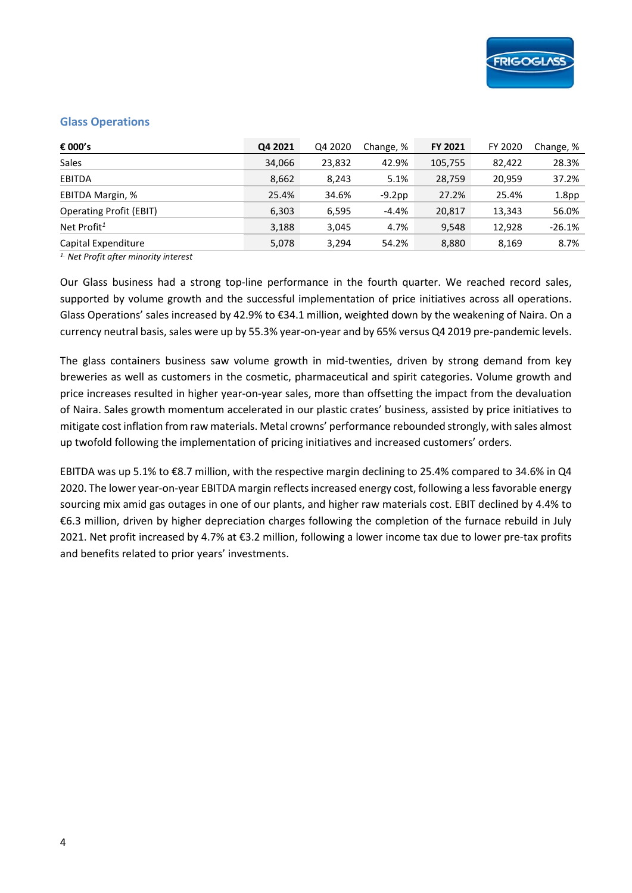#### **Glass Operations**

| € 000's                        | Q4 2021 | Q4 2020 | Change, % | <b>FY 2021</b> | FY 2020 | Change, %         |
|--------------------------------|---------|---------|-----------|----------------|---------|-------------------|
| <b>Sales</b>                   | 34,066  | 23,832  | 42.9%     | 105,755        | 82,422  | 28.3%             |
| <b>EBITDA</b>                  | 8,662   | 8,243   | 5.1%      | 28,759         | 20.959  | 37.2%             |
| EBITDA Margin, %               | 25.4%   | 34.6%   | $-9.2$ pp | 27.2%          | 25.4%   | 1.8 <sub>pp</sub> |
| <b>Operating Profit (EBIT)</b> | 6,303   | 6,595   | $-4.4%$   | 20,817         | 13,343  | 56.0%             |
| Net Profit <sup>1</sup>        | 3,188   | 3,045   | 4.7%      | 9,548          | 12,928  | $-26.1%$          |
| Capital Expenditure            | 5,078   | 3,294   | 54.2%     | 8,880          | 8,169   | 8.7%              |

*1. Net Profit after minority interest* 

Our Glass business had a strong top-line performance in the fourth quarter. We reached record sales, supported by volume growth and the successful implementation of price initiatives across all operations. Glass Operations' sales increased by 42.9% to €34.1 million, weighted down by the weakening of Naira. On a currency neutral basis, sales were up by 55.3% year-on-year and by 65% versus Q4 2019 pre-pandemic levels.

The glass containers business saw volume growth in mid-twenties, driven by strong demand from key breweries as well as customers in the cosmetic, pharmaceutical and spirit categories. Volume growth and price increases resulted in higher year-on-year sales, more than offsetting the impact from the devaluation of Naira. Sales growth momentum accelerated in our plastic crates' business, assisted by price initiatives to mitigate cost inflation from raw materials. Metal crowns' performance rebounded strongly, with sales almost up twofold following the implementation of pricing initiatives and increased customers' orders.

EBITDA was up 5.1% to €8.7 million, with the respective margin declining to 25.4% compared to 34.6% in Q4 2020. The lower year-on-year EBITDA margin reflects increased energy cost, following a less favorable energy sourcing mix amid gas outages in one of our plants, and higher raw materials cost. EBIT declined by 4.4% to €6.3 million, driven by higher depreciation charges following the completion of the furnace rebuild in July 2021. Net profit increased by 4.7% at €3.2 million, following a lower income tax due to lower pre-tax profits and benefits related to prior years' investments.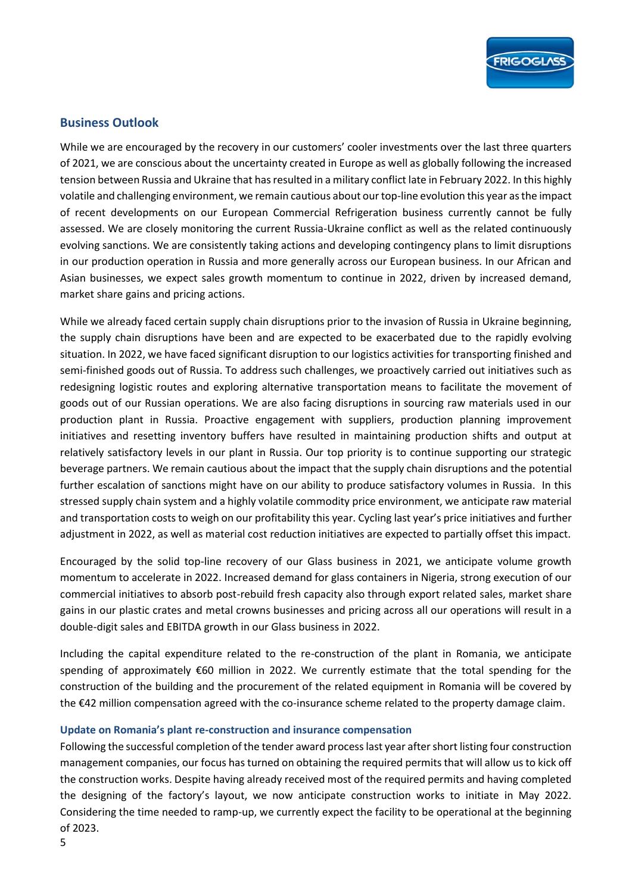

### **Business Outlook**

While we are encouraged by the recovery in our customers' cooler investments over the last three quarters of 2021, we are conscious about the uncertainty created in Europe as well as globally following the increased tension between Russia and Ukraine that has resulted in a military conflict late in February 2022. In this highly volatile and challenging environment, we remain cautious about our top-line evolution this year as the impact of recent developments on our European Commercial Refrigeration business currently cannot be fully assessed. We are closely monitoring the current Russia-Ukraine conflict as well as the related continuously evolving sanctions. We are consistently taking actions and developing contingency plans to limit disruptions in our production operation in Russia and more generally across our European business. In our African and Asian businesses, we expect sales growth momentum to continue in 2022, driven by increased demand, market share gains and pricing actions.

While we already faced certain supply chain disruptions prior to the invasion of Russia in Ukraine beginning, the supply chain disruptions have been and are expected to be exacerbated due to the rapidly evolving situation. In 2022, we have faced significant disruption to our logistics activities for transporting finished and semi-finished goods out of Russia. To address such challenges, we proactively carried out initiatives such as redesigning logistic routes and exploring alternative transportation means to facilitate the movement of goods out of our Russian operations. We are also facing disruptions in sourcing raw materials used in our production plant in Russia. Proactive engagement with suppliers, production planning improvement initiatives and resetting inventory buffers have resulted in maintaining production shifts and output at relatively satisfactory levels in our plant in Russia. Our top priority is to continue supporting our strategic beverage partners. We remain cautious about the impact that the supply chain disruptions and the potential further escalation of sanctions might have on our ability to produce satisfactory volumes in Russia. In this stressed supply chain system and a highly volatile commodity price environment, we anticipate raw material and transportation costs to weigh on our profitability this year. Cycling last year's price initiatives and further adjustment in 2022, as well as material cost reduction initiatives are expected to partially offset this impact.

Encouraged by the solid top-line recovery of our Glass business in 2021, we anticipate volume growth momentum to accelerate in 2022. Increased demand for glass containers in Nigeria, strong execution of our commercial initiatives to absorb post-rebuild fresh capacity also through export related sales, market share gains in our plastic crates and metal crowns businesses and pricing across all our operations will result in a double-digit sales and EBITDA growth in our Glass business in 2022.

Including the capital expenditure related to the re-construction of the plant in Romania, we anticipate spending of approximately €60 million in 2022. We currently estimate that the total spending for the construction of the building and the procurement of the related equipment in Romania will be covered by the €42 million compensation agreed with the co-insurance scheme related to the property damage claim.

#### **Update on Romania's plant re-construction and insurance compensation**

Following the successful completion of the tender award process last year after short listing four construction management companies, our focus has turned on obtaining the required permits that will allow us to kick off the construction works. Despite having already received most of the required permits and having completed the designing of the factory's layout, we now anticipate construction works to initiate in May 2022. Considering the time needed to ramp-up, we currently expect the facility to be operational at the beginning of 2023.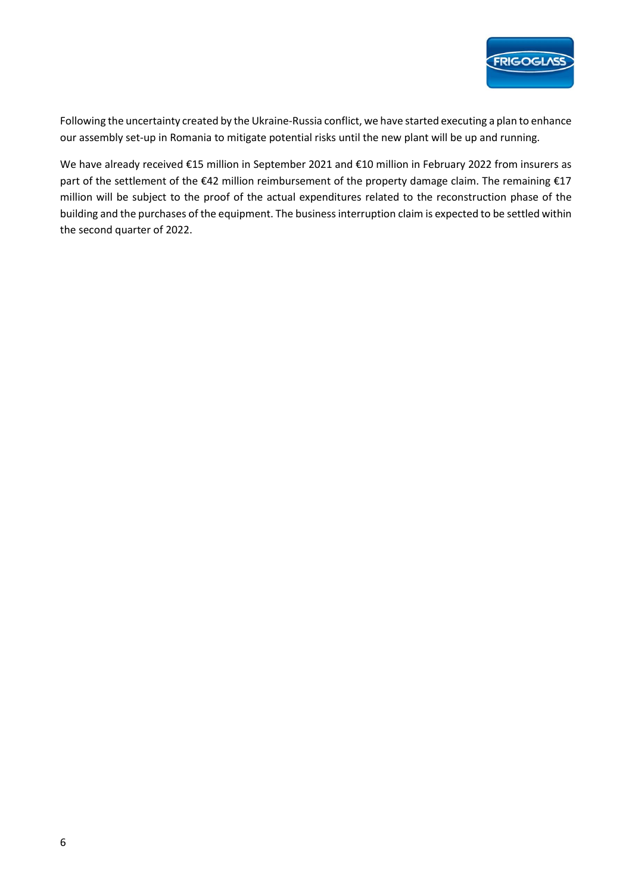

Following the uncertainty created by the Ukraine-Russia conflict, we have started executing a plan to enhance our assembly set-up in Romania to mitigate potential risks until the new plant will be up and running.

We have already received €15 million in September 2021 and €10 million in February 2022 from insurers as part of the settlement of the €42 million reimbursement of the property damage claim. The remaining €17 million will be subject to the proof of the actual expenditures related to the reconstruction phase of the building and the purchases of the equipment. The business interruption claim is expected to be settled within the second quarter of 2022.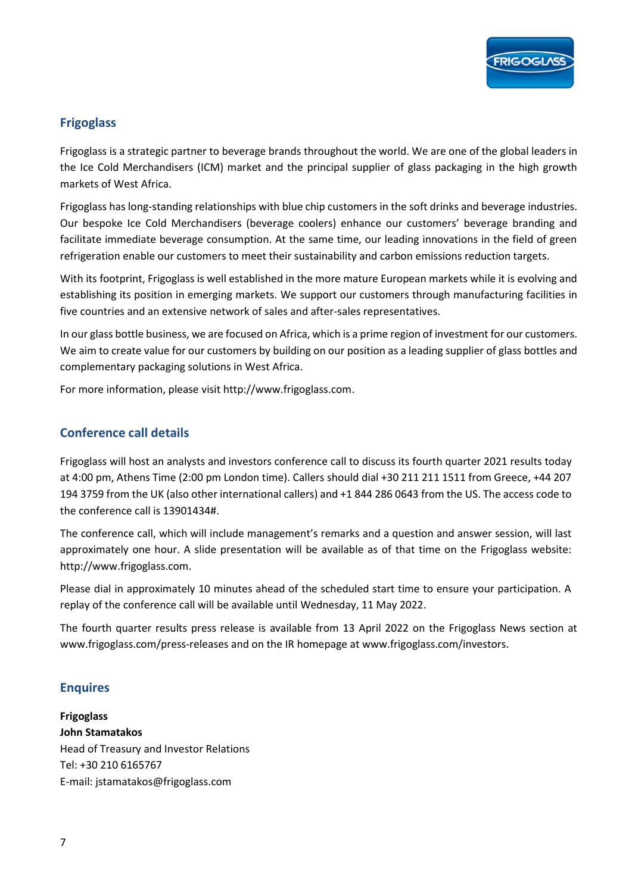

### **Frigoglass**

Frigoglass is a strategic partner to beverage brands throughout the world. We are one of the global leaders in the Ice Cold Merchandisers (ICM) market and the principal supplier of glass packaging in the high growth markets of West Africa.

Frigoglass has long-standing relationships with blue chip customers in the soft drinks and beverage industries. Our bespoke Ice Cold Merchandisers (beverage coolers) enhance our customers' beverage branding and facilitate immediate beverage consumption. At the same time, our leading innovations in the field of green refrigeration enable our customers to meet their sustainability and carbon emissions reduction targets.

With its footprint, Frigoglass is well established in the more mature European markets while it is evolving and establishing its position in emerging markets. We support our customers through manufacturing facilities in five countries and an extensive network of sales and after-sales representatives.

In our glass bottle business, we are focused on Africa, which is a prime region of investment for our customers. We aim to create value for our customers by building on our position as a leading supplier of glass bottles and complementary packaging solutions in West Africa.

For more information, please visit http://www.frigoglass.com.

### **Conference call details**

Frigoglass will host an analysts and investors conference call to discuss its fourth quarter 2021 results today at 4:00 pm, Athens Time (2:00 pm London time). Callers should dial +30 211 211 1511 from Greece, +44 207 194 3759 from the UK (also other international callers) and +1 844 286 0643 from the US. The access code to the conference call is 13901434#.

The conference call, which will include management's remarks and a question and answer session, will last approximately one hour. A slide presentation will be available as of that time on the Frigoglass website: http://www.frigoglass.com.

Please dial in approximately 10 minutes ahead of the scheduled start time to ensure your participation. A replay of the conference call will be available until Wednesday, 11 May 2022.

The fourth quarter results press release is available from 13 April 2022 on the Frigoglass News section at www.frigoglass.com/press-releases and on the IR homepage at www.frigoglass.com/investors.

### **Enquires**

**Frigoglass John Stamatakos**  Head of Treasury and Investor Relations Tel: +30 210 6165767 E-mail: jstamatakos@frigoglass.com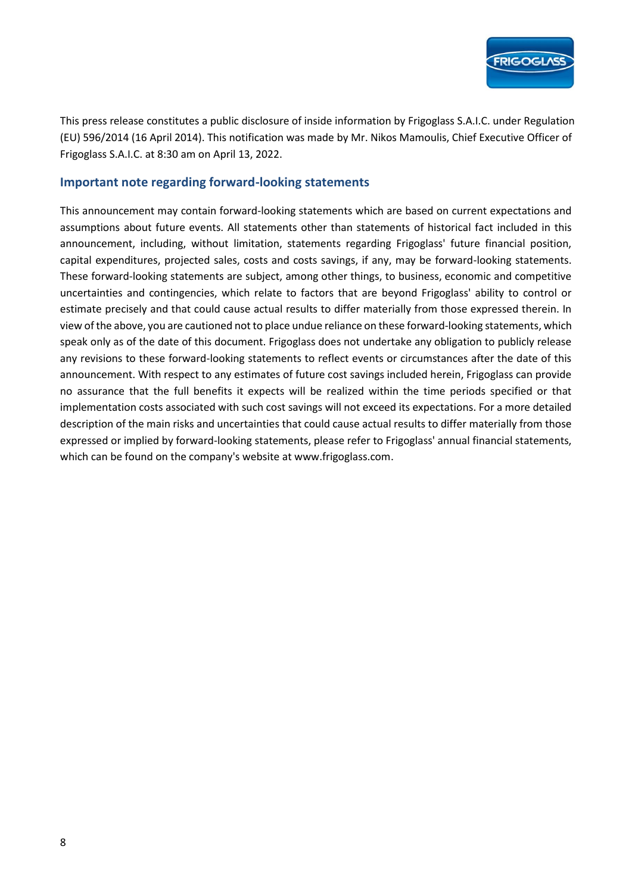

This press release constitutes a public disclosure of inside information by Frigoglass S.A.I.C. under Regulation (EU) 596/2014 (16 April 2014). This notification was made by Mr. Nikos Mamoulis, Chief Executive Officer of Frigoglass S.A.I.C. at 8:30 am on April 13, 2022.

### **Important note regarding forward-looking statements**

This announcement may contain forward-looking statements which are based on current expectations and assumptions about future events. All statements other than statements of historical fact included in this announcement, including, without limitation, statements regarding Frigoglass' future financial position, capital expenditures, projected sales, costs and costs savings, if any, may be forward-looking statements. These forward-looking statements are subject, among other things, to business, economic and competitive uncertainties and contingencies, which relate to factors that are beyond Frigoglass' ability to control or estimate precisely and that could cause actual results to differ materially from those expressed therein. In view of the above, you are cautioned not to place undue reliance on these forward-looking statements, which speak only as of the date of this document. Frigoglass does not undertake any obligation to publicly release any revisions to these forward-looking statements to reflect events or circumstances after the date of this announcement. With respect to any estimates of future cost savings included herein, Frigoglass can provide no assurance that the full benefits it expects will be realized within the time periods specified or that implementation costs associated with such cost savings will not exceed its expectations. For a more detailed description of the main risks and uncertainties that could cause actual results to differ materially from those expressed or implied by forward-looking statements, please refer to Frigoglass' annual financial statements, which can be found on the company's website at www.frigoglass.com.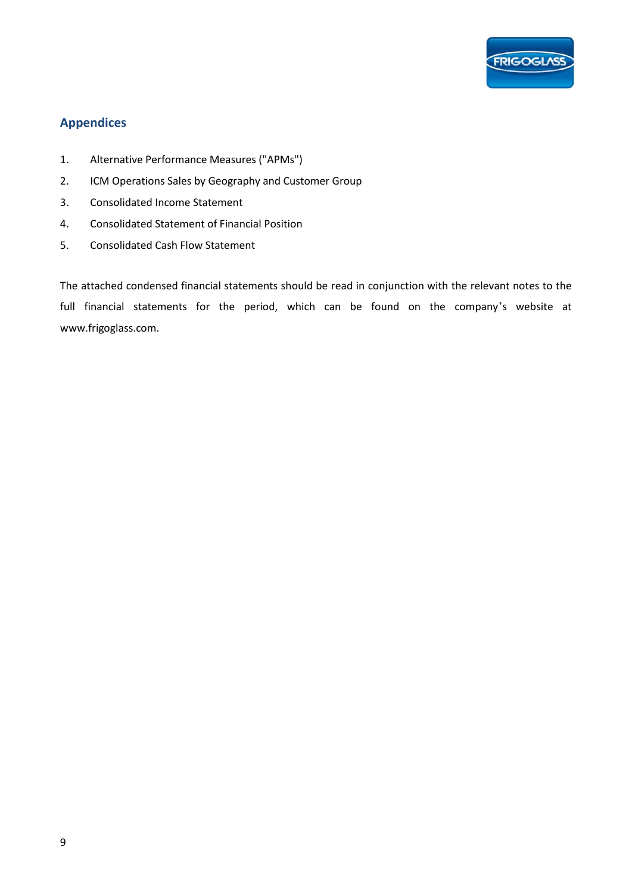

### **Appendices**

- 1. Alternative Performance Measures ("APMs")
- 2. ICM Operations Sales by Geography and Customer Group
- 3. Consolidated Income Statement
- 4. Consolidated Statement of Financial Position
- 5. Consolidated Cash Flow Statement

The attached condensed financial statements should be read in conjunction with the relevant notes to the full financial statements for the period, which can be found on the company's website at www.frigoglass.com.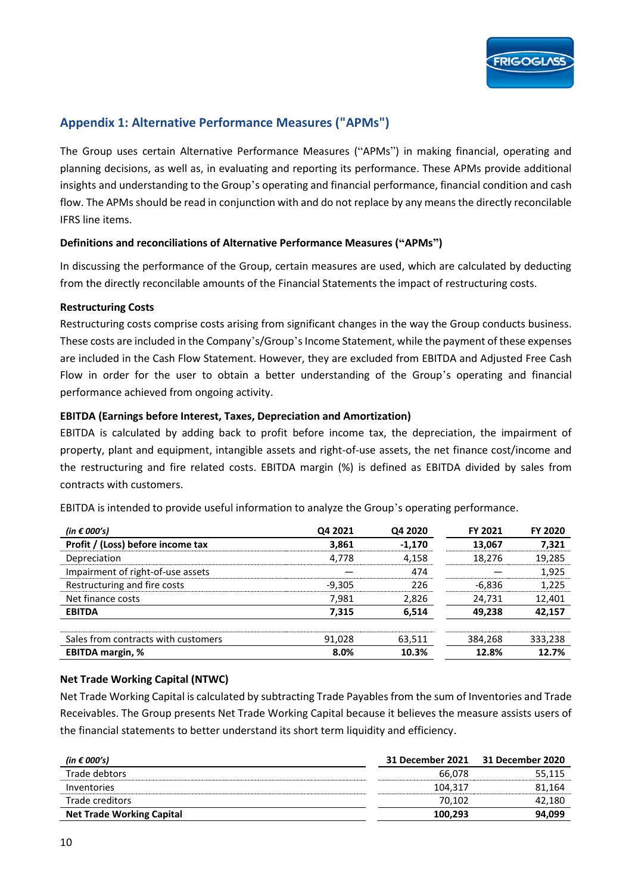### **Appendix 1: Alternative Performance Measures ("APMs")**

The Group uses certain Alternative Performance Measures ("APMs") in making financial, operating and planning decisions, as well as, in evaluating and reporting its performance. These APMs provide additional insights and understanding to the Group's operating and financial performance, financial condition and cash flow. The APMs should be read in conjunction with and do not replace by any means the directly reconcilable IFRS line items.

### **Definitions and reconciliations of Alternative Performance Measures ("APMs")**

In discussing the performance of the Group, certain measures are used, which are calculated by deducting from the directly reconcilable amounts of the Financial Statements the impact of restructuring costs.

### **Restructuring Costs**

Restructuring costs comprise costs arising from significant changes in the way the Group conducts business. These costs are included in the Company's/Group's Income Statement, while the payment of these expenses are included in the Cash Flow Statement. However, they are excluded from EBITDA and Adjusted Free Cash Flow in order for the user to obtain a better understanding of the Group's operating and financial performance achieved from ongoing activity.

### **EBITDA (Earnings before Interest, Taxes, Depreciation and Amortization)**

EBITDA is calculated by adding back to profit before income tax, the depreciation, the impairment of property, plant and equipment, intangible assets and right-of-use assets, the net finance cost/income and the restructuring and fire related costs. EBITDA margin (%) is defined as EBITDA divided by sales from contracts with customers.

| (in $\epsilon$ 000's)               | Q4 2021  | Q4 2020  | <b>FY 2021</b> | <b>FY 2020</b> |  |
|-------------------------------------|----------|----------|----------------|----------------|--|
| Profit / (Loss) before income tax   | 3,861    | $-1,170$ | 13,067         | 7,321          |  |
| Depreciation                        | 4,778    | 4,158    | 18,276         | 19,285         |  |
| Impairment of right-of-use assets   |          | 474      |                | 1,925          |  |
| Restructuring and fire costs        | $-9,305$ | 226      | -6,836         | 1,225          |  |
| Net finance costs                   | 7,981    | 2,826    | 24,731         | 12,401         |  |
| <b>EBITDA</b>                       | 7,315    | 6,514    | 49,238         | 42,157         |  |
| Sales from contracts with customers | 91,028   | 63,511   | 384,268        | 333,238        |  |
| <b>EBITDA margin, %</b>             | 8.0%     | 10.3%    | 12.8%          | 12.7%          |  |

EBITDA is intended to provide useful information to analyze the Group's operating performance.

### **Net Trade Working Capital (NTWC)**

Net Trade Working Capital is calculated by subtracting Trade Payables from the sum of Inventories and Trade Receivables. The Group presents Net Trade Working Capital because it believes the measure assists users of the financial statements to better understand its short term liquidity and efficiency.

| (in € 000's)                     | <b>31 December 2021</b> | 31 December 2020 |
|----------------------------------|-------------------------|------------------|
| Trade debtors                    | 66.078                  | 55,115           |
| <i>Inventories</i>               | 104.317                 | 81,164           |
| Trade creditors                  | 70.102                  | 42,180           |
| <b>Net Trade Working Capital</b> | 100.293                 | 94,099           |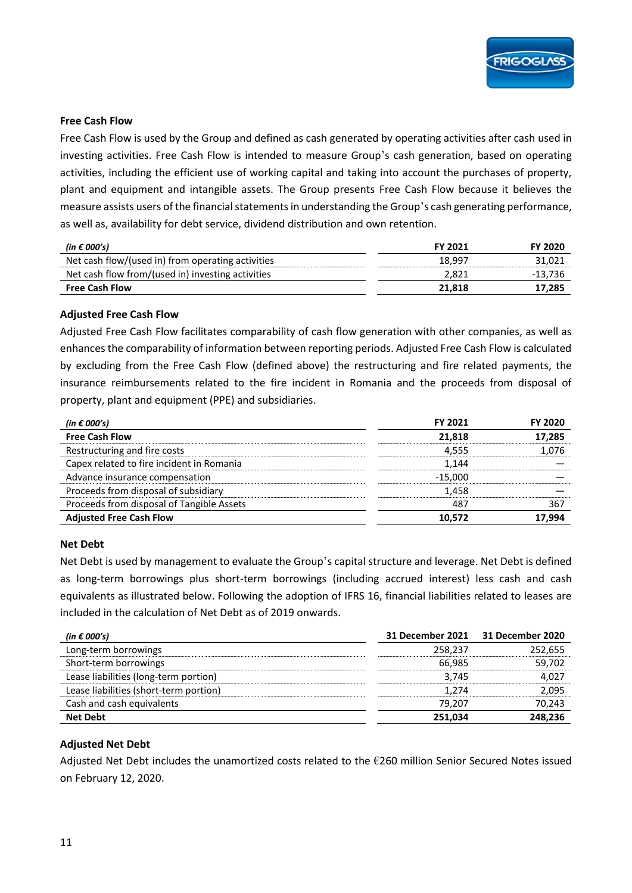

#### **Free Cash Flow**

Free Cash Flow is used by the Group and defined as cash generated by operating activities after cash used in investing activities. Free Cash Flow is intended to measure Group's cash generation, based on operating activities, including the efficient use of working capital and taking into account the purchases of property, plant and equipment and intangible assets. The Group presents Free Cash Flow because it believes the measure assists users of the financial statements in understanding the Group's cash generating performance, as well as, availability for debt service, dividend distribution and own retention.

| (in $\epsilon$ 000's)                             | <b>FY 2021</b> | <b>FY 2020</b> |
|---------------------------------------------------|----------------|----------------|
| Net cash flow/(used in) from operating activities | 18.997         | 31,021         |
| Net cash flow from/(used in) investing activities | 2,821          | $-13.736$      |
| <b>Free Cash Flow</b>                             | 21.818         | 17,285         |

#### **Adjusted Free Cash Flow**

Adjusted Free Cash Flow facilitates comparability of cash flow generation with other companies, as well as enhances the comparability of information between reporting periods. Adjusted Free Cash Flow is calculated by excluding from the Free Cash Flow (defined above) the restructuring and fire related payments, the insurance reimbursements related to the fire incident in Romania and the proceeds from disposal of property, plant and equipment (PPE) and subsidiaries.

| (in $\epsilon$ 000's)                     | <b>FY 2021</b> | <b>FY 2020</b> |
|-------------------------------------------|----------------|----------------|
| <b>Free Cash Flow</b>                     | 21,818         | 17,285         |
| Restructuring and fire costs              | 4,555          | 1,076          |
| Capex related to fire incident in Romania | 1.144          |                |
| Advance insurance compensation            | $-15.000$      |                |
| Proceeds from disposal of subsidiary      | 1,458          |                |
| Proceeds from disposal of Tangible Assets | 487            | 367            |
| <b>Adjusted Free Cash Flow</b>            | 10.572         | 17,994         |

#### **Net Debt**

Net Debt is used by management to evaluate the Group's capital structure and leverage. Net Debt is defined as long-term borrowings plus short-term borrowings (including accrued interest) less cash and cash equivalents as illustrated below. Following the adoption of IFRS 16, financial liabilities related to leases are included in the calculation of Net Debt as of 2019 onwards.

| (in $\epsilon$ 000's)                  | 31 December 2021 | 31 December 2020 |
|----------------------------------------|------------------|------------------|
| Long-term borrowings                   | 258.237          | 252,655          |
| Short-term borrowings                  | 66.985           | 59,702           |
| Lease liabilities (long-term portion)  | 3.745            | 4,027            |
| Lease liabilities (short-term portion) | 1,274            | 2,095            |
| Cash and cash equivalents              | 79.207           | 70,243           |
| <b>Net Debt</b>                        | 251.034          | 248,236          |

#### **Adjusted Net Debt**

Adjusted Net Debt includes the unamortized costs related to the  $E$ 260 million Senior Secured Notes issued on February 12, 2020.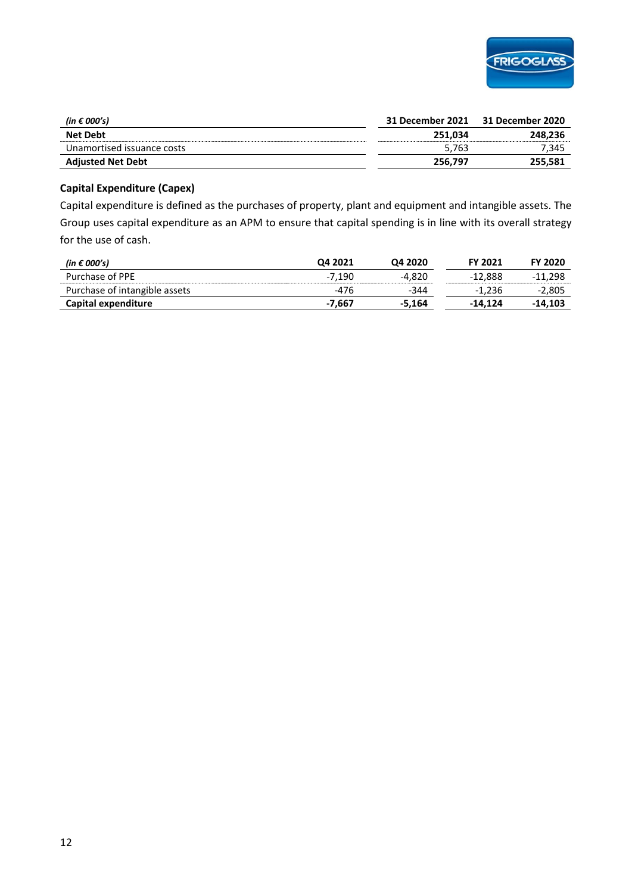

| (in $\epsilon$ 000's)      | 31 December 2021 | 31 December 2020 |
|----------------------------|------------------|------------------|
| <b>Net Debt</b>            | 251.034          | 248.236          |
| Unamortised issuance costs | 5.763            | 345,             |
| <b>Adjusted Net Debt</b>   | 256.797          | 255,581          |

#### **Capital Expenditure (Capex)**

Capital expenditure is defined as the purchases of property, plant and equipment and intangible assets. The Group uses capital expenditure as an APM to ensure that capital spending is in line with its overall strategy for the use of cash.

| (in $\epsilon$ 000's)         | O <sub>4</sub> 2021 | Q4 2020  | <b>FY 2021</b> | <b>FY 2020</b> |
|-------------------------------|---------------------|----------|----------------|----------------|
| Purchase of PPE               | -7.190              | -4.820   | -12.888        | $-11.298$      |
| Purchase of intangible assets | -476                | $-344$   | $-1.236$       | $-2,805$       |
| Capital expenditure           | -7.667              | $-5.164$ | $-14.124$      | -14.103        |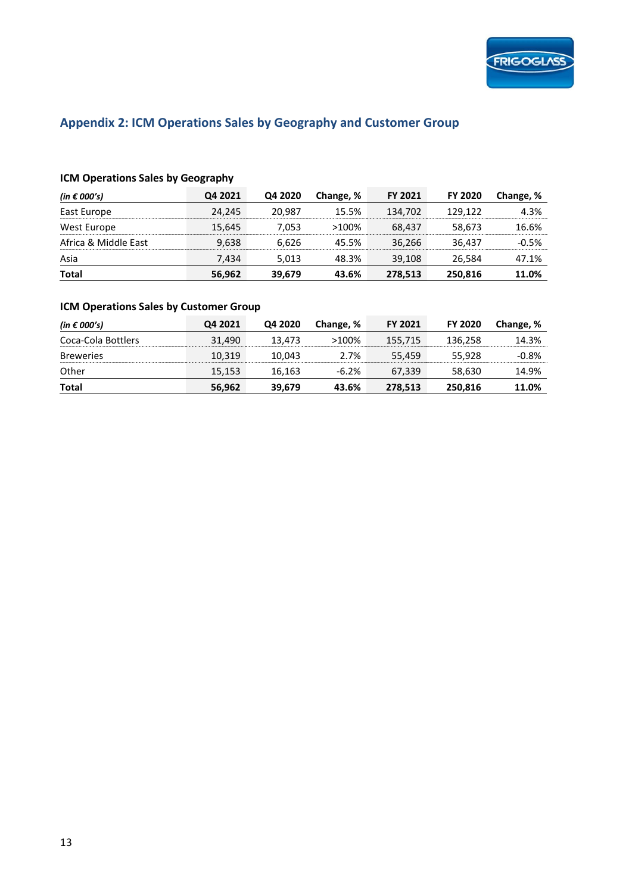

## **Appendix 2: ICM Operations Sales by Geography and Customer Group**

### **ICM Operations Sales by Geography**

| (in $\epsilon$ 000's) | Q4 2021 | Q4 2020 | Change, % | <b>FY 2021</b> | <b>FY 2020</b> | Change, % |
|-----------------------|---------|---------|-----------|----------------|----------------|-----------|
| East Europe           | 24.245  | 20.987  | 15.5%     | 134.702        | 129.122        | 4.3%      |
| West Europe           | 15.645  | 7.053   | $>100\%$  | 68.437         | 58.673         | 16.6%     |
| Africa & Middle East  | 9,638   | 6.626   | 45.5%     | 36.266         | 36.437         | $-0.5%$   |
| Asia                  | 7.434   | 5.013   | 48.3%     | 39.108         | 26.584         | 47.1%     |
| <b>Total</b>          | 56,962  | 39,679  | 43.6%     | 278,513        | 250,816        | 11.0%     |

### **ICM Operations Sales by Customer Group**

| (in $\epsilon$ 000's) | Q4 2021 | Q4 2020 | Change, % | <b>FY 2021</b> | <b>FY 2020</b> | Change, % |
|-----------------------|---------|---------|-----------|----------------|----------------|-----------|
| Coca-Cola Bottlers    | 31.490  | 13.473  | $>100\%$  | 155,715        | 136,258        | 14.3%     |
| <b>Breweries</b>      | 10.319  | 10.043  | 2.7%      | 55.459         | 55.928         | $-0.8%$   |
| Other                 | 15,153  | 16,163  | $-6.2%$   | 67.339         | 58.630         | 14.9%     |
| Total                 | 56,962  | 39,679  | 43.6%     | 278,513        | 250,816        | 11.0%     |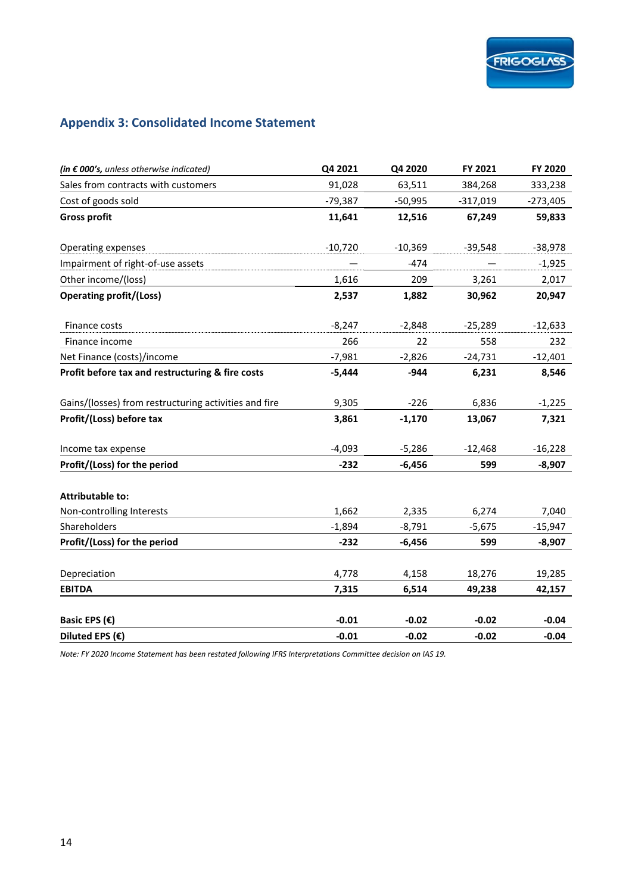# **Appendix 3: Consolidated Income Statement**

| (in $\epsilon$ 000's, unless otherwise indicated)     | Q4 2021   | Q4 2020   | FY 2021    | FY 2020    |
|-------------------------------------------------------|-----------|-----------|------------|------------|
| Sales from contracts with customers                   | 91,028    | 63,511    | 384,268    | 333,238    |
| Cost of goods sold                                    | $-79,387$ | $-50,995$ | $-317,019$ | $-273,405$ |
| <b>Gross profit</b>                                   | 11,641    | 12,516    | 67,249     | 59,833     |
| Operating expenses                                    | $-10,720$ | $-10,369$ | $-39,548$  | $-38,978$  |
| Impairment of right-of-use assets                     |           | $-474$    |            | $-1,925$   |
| Other income/(loss)                                   | 1,616     | 209       | 3,261      | 2,017      |
| <b>Operating profit/(Loss)</b>                        | 2,537     | 1,882     | 30,962     | 20,947     |
| Finance costs                                         | $-8,247$  | $-2,848$  | $-25,289$  | $-12,633$  |
| Finance income                                        | 266       | 22        | 558        | 232        |
| Net Finance (costs)/income                            | $-7,981$  | $-2,826$  | $-24,731$  | $-12,401$  |
| Profit before tax and restructuring & fire costs      | $-5,444$  | $-944$    | 6,231      | 8,546      |
| Gains/(losses) from restructuring activities and fire | 9,305     | $-226$    | 6,836      | $-1,225$   |
| Profit/(Loss) before tax                              | 3,861     | $-1,170$  | 13,067     | 7,321      |
| Income tax expense                                    | $-4,093$  | $-5,286$  | $-12,468$  | $-16,228$  |
| Profit/(Loss) for the period                          | $-232$    | $-6,456$  | 599        | $-8,907$   |
| <b>Attributable to:</b>                               |           |           |            |            |
| Non-controlling Interests                             | 1,662     | 2,335     | 6,274      | 7,040      |
| Shareholders                                          | $-1,894$  | $-8,791$  | $-5,675$   | -15,947    |
| Profit/(Loss) for the period                          | $-232$    | $-6,456$  | 599        | $-8,907$   |
| Depreciation                                          | 4,778     | 4,158     | 18,276     | 19,285     |
| <b>EBITDA</b>                                         | 7,315     | 6,514     | 49,238     | 42,157     |
| Basic EPS $(€)$                                       | $-0.01$   | $-0.02$   | $-0.02$    | $-0.04$    |
| Diluted EPS $(\epsilon)$                              | $-0.01$   | $-0.02$   | $-0.02$    | $-0.04$    |

*Note: FY 2020 Income Statement has been restated following IFRS Interpretations Committee decision on IAS 19.*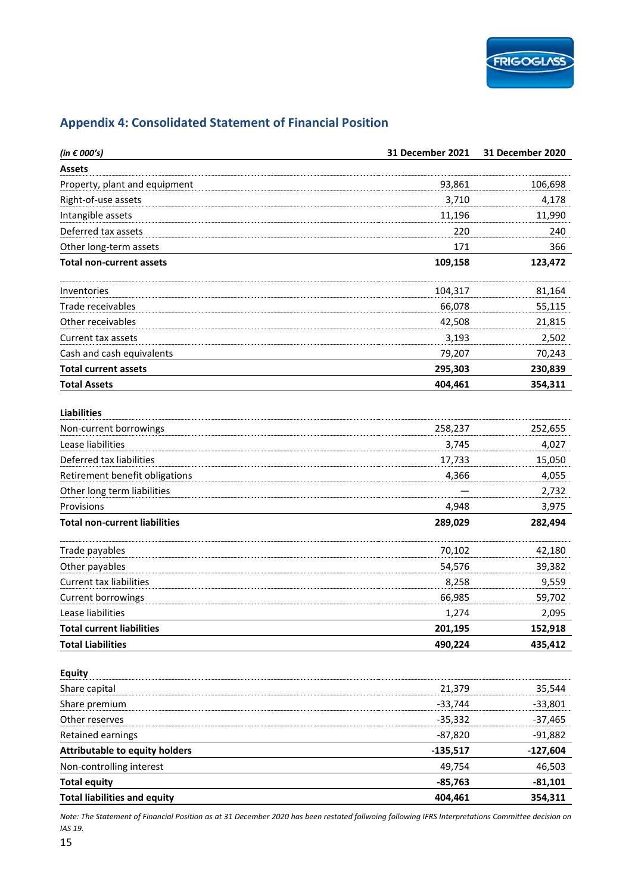| (in $\epsilon$ 000's)                 | 31 December 2021 | <b>31 December 2020</b> |
|---------------------------------------|------------------|-------------------------|
| <b>Assets</b>                         |                  |                         |
| Property, plant and equipment         | 93,861           | 106,698                 |
| Right-of-use assets                   | 3,710            | 4,178                   |
| Intangible assets                     | 11,196           | 11,990                  |
| Deferred tax assets                   | 220              | 240                     |
| Other long-term assets                | 171              | 366                     |
| <b>Total non-current assets</b>       | 109,158          | 123,472                 |
| Inventories                           | 104,317          | 81,164                  |
| Trade receivables                     | 66,078           | 55,115                  |
| Other receivables                     | 42,508           | 21,815                  |
| Current tax assets                    | 3,193            | 2,502                   |
| Cash and cash equivalents             | 79,207           | 70,243                  |
| <b>Total current assets</b>           | 295,303          | 230,839                 |
| <b>Total Assets</b>                   | 404,461          | 354,311                 |
| <b>Liabilities</b>                    |                  |                         |
| Non-current borrowings                | 258,237          | 252,655                 |
| Lease liabilities                     | 3,745            | 4,027                   |
| Deferred tax liabilities              | 17,733           | 15,050                  |
| Retirement benefit obligations        | 4,366            | 4,055                   |
| Other long term liabilities           |                  | 2,732                   |
| Provisions                            | 4,948            | 3,975                   |
| <b>Total non-current liabilities</b>  | 289,029          | 282,494                 |
| Trade payables                        | 70,102           | 42,180                  |
| Other payables                        | 54,576           | 39,382                  |
| <b>Current tax liabilities</b>        | 8,258            | 9,559                   |
| Current borrowings                    | 66,985           | 59,702                  |
| Lease liabilities                     | 1,274            | 2,095                   |
| <b>Total current liabilities</b>      | 201,195          | 152,918                 |
| <b>Total Liabilities</b>              | 490,224          | 435,412                 |
| <b>Equity</b>                         |                  |                         |
| Share capital                         | 21,379           | 35,544                  |
| Share premium                         | $-33,744$        | $-33,801$               |
| Other reserves                        | $-35,332$        | $-37,465$               |
| Retained earnings                     | $-87,820$        | $-91,882$               |
| <b>Attributable to equity holders</b> | $-135,517$       | $-127,604$              |
| Non-controlling interest              | 49,754           | 46,503                  |
| <b>Total equity</b>                   | $-85,763$        | $-81,101$               |
| <b>Total liabilities and equity</b>   | 404,461          | 354,311                 |

### **Appendix 4: Consolidated Statement of Financial Position**

*Note: The Statement of Financial Position as at 31 December 2020 has been restated follwoing following IFRS Interpretations Committee decision on IAS 19.*